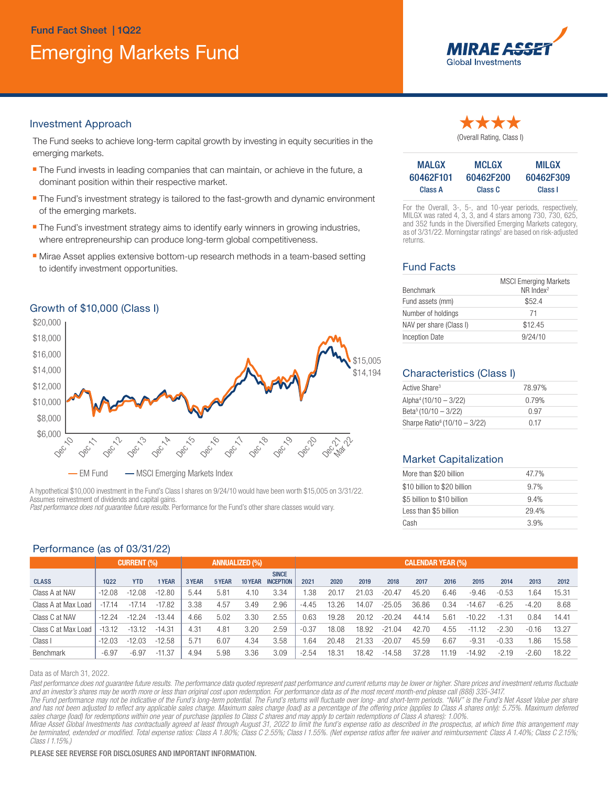# Emerging Markets Fund Fund Fact Sheet | 1Q22



#### Investment Approach

The Fund seeks to achieve long-term capital growth by investing in equity securities in the emerging markets.

- The Fund invests in leading companies that can maintain, or achieve in the future, a dominant position within their respective market.
- **The Fund's investment strategy is tailored to the fast-growth and dynamic environment** of the emerging markets.
- **The Fund's investment strategy aims to identify early winners in growing industries,** where entrepreneurship can produce long-term global competitiveness.
- **Nirae Asset applies extensive bottom-up research methods in a team-based setting** to identify investment opportunities.





A hypothetical \$10,000 investment in the Fund's Class I shares on 9/24/10 would have been worth \$15,005 on 3/31/22. Assumes reinvestment of dividends and capital gains. *Past performance does not guarantee future results.* Performance for the Fund's other share classes would vary.

## Performance (as of 03/31/22)

| (Overall Rating, Class I) |
|---------------------------|

| <b>MALGX</b> | <b>MCLGX</b> | <b>MILGX</b> |
|--------------|--------------|--------------|
| 60462F101    | 60462F200    | 60462F309    |
| Class A      | Class C      | Class I      |

For the Overall, 3-, 5-, and 10-year periods, respectively, MILGX was rated 4, 3, 3, and 4 stars among 730, 730, 625, and 352 funds in the Diversified Emerging Markets category, as of 3/31/22. Morningstar ratings<sup>1</sup> are based on risk-adjusted returns.

## Fund Facts

| Benchmark               | <b>MSCI Emerging Markets</b><br>$NR$ Index <sup>2</sup> |  |  |  |  |  |
|-------------------------|---------------------------------------------------------|--|--|--|--|--|
| Fund assets (mm)        | \$52.4                                                  |  |  |  |  |  |
| Number of holdings      | -71                                                     |  |  |  |  |  |
| NAV per share (Class I) | \$12.45                                                 |  |  |  |  |  |
| <b>Inception Date</b>   | 9/24/10                                                 |  |  |  |  |  |

## \$14,194 Characteristics (Class I)

| Active Share <sup>3</sup>                | 78.97% |  |
|------------------------------------------|--------|--|
| Alpha <sup>4</sup> (10/10 - 3/22)        | 0.79%  |  |
| Beta <sup>5</sup> (10/10 - 3/22)         | በ 97   |  |
| Sharpe Ratio <sup>6</sup> (10/10 - 3/22) | 0.17   |  |

#### Market Capitalization

| More than \$20 billion       | 47.7% |
|------------------------------|-------|
| \$10 billion to \$20 billion | 9.7%  |
| \$5 billion to \$10 billion  | 9.4%  |
| Less than \$5 billion        | 29.4% |
| Cash                         | 3.9%  |

| --------------      |                                             |            |          |        |        |                          |                                  |         |       |       |          |       |       |          |         |         |       |
|---------------------|---------------------------------------------|------------|----------|--------|--------|--------------------------|----------------------------------|---------|-------|-------|----------|-------|-------|----------|---------|---------|-------|
|                     | <b>CURRENT (%)</b><br><b>ANNUALIZED (%)</b> |            |          |        |        | <b>CALENDAR YEAR (%)</b> |                                  |         |       |       |          |       |       |          |         |         |       |
| <b>CLASS</b>        | 1022                                        | <b>YTD</b> | 1 YEAR   | 3 YEAR | 5 YEAR | 10 YEAR                  | <b>SINCE</b><br><b>INCEPTION</b> | 2021    | 2020  | 2019  | 2018     | 2017  | 2016  | 2015     | 2014    | 2013    | 2012  |
| Class A at NAV      | $-12.08$                                    | $-12.08$   | $-12.80$ | 5.44   | 5.81   | 4.10                     | 3.34                             | .38     | 20.17 | 21.03 | $-20.47$ | 45.20 | 6.46  | $-9.46$  | $-0.53$ | 1.64    | 15.31 |
| Class A at Max Load | $-17.14$                                    | $-17.14$   | $-17.82$ | 3.38   | 4.57   | 3.49                     | 2.96                             | $-4.45$ | 13.26 | 14.07 | $-25.05$ | 36.86 | 0.34  | $-14.67$ | $-6.25$ | $-4.20$ | 8.68  |
| Class C at NAV      | $-12.24$                                    | $-12.24$   | $-13.44$ | 4.66   | 5.02   | 3.30                     | 2.55                             | 0.63    | 19.28 | 20.12 | $-20.24$ | 44.14 | 5.61  | $-10.22$ | $-1.31$ | 0.84    | 14.41 |
| Class C at Max Load | $-13.12$                                    | $-13.12$   | $-14.31$ | 4.31   | 4.81   | 3.20                     | 2.59                             | $-0.37$ | 18.08 | 18.92 | $-21.04$ | 42.70 | 4.55  | $-11.12$ | $-2.30$ | $-0.16$ | 13.27 |
| Class I             | $-12.03$                                    | $-12.03$   | $-12.58$ | 5.71   | 6.07   | 4.34                     | 3.58                             | .64     | 20.48 | 21.33 | $-20.07$ | 45.59 | 6.67  | $-9.31$  | $-0.33$ | 1.86    | 15.58 |
| Benchmark           | $-6.97$                                     | $-6.97$    | $-11.37$ | 4.94   | 5.98   | 3.36                     | 3.09                             | $-2.54$ | 18.31 | 18.42 | $-14.58$ | 37.28 | 11.19 | $-14.92$ | $-2.19$ | $-2.60$ | 18.22 |

Data as of March 31, 2022.

Past performance does not guarantee future results. The performance data quoted represent past performance and current returns may be lower or higher. Share prices and investment returns fluctuate *and an investor's shares may be worth more or less than original cost upon redemption. For performance data as of the most recent month-end please call (888) 335-3417.*

The Fund performance may not be indicative of the Fund's long-term potential. The Fund's returns will fluctuate over long- and short-term periods. "NAV" is the Fund's Net Asset Value per share and has not been adjusted to reflect any applicable sales charge. Maximum sales charge (load) as a percentage of the offering price (applies to Class A shares only): 5.75%. Maximum deferred *sales charge (load) for redemptions within one year of purchase (applies to Class C shares and may apply to certain redemptions of Class A shares): 1.00%.*

*Mirae Asset Global Investments has contractually agreed at least through August 31, 2022 to limit the fund's expense ratio as described in the prospectus, at which time this arrangement may be terminated, extended or modified. Total expense ratios: Class A 1.80%; Class C 2.55%; Class I 1.55%. (Net expense ratios after fee waiver and reimbursement: Class A 1.40%; Class C 2.15%; Class I 1.15%.)*